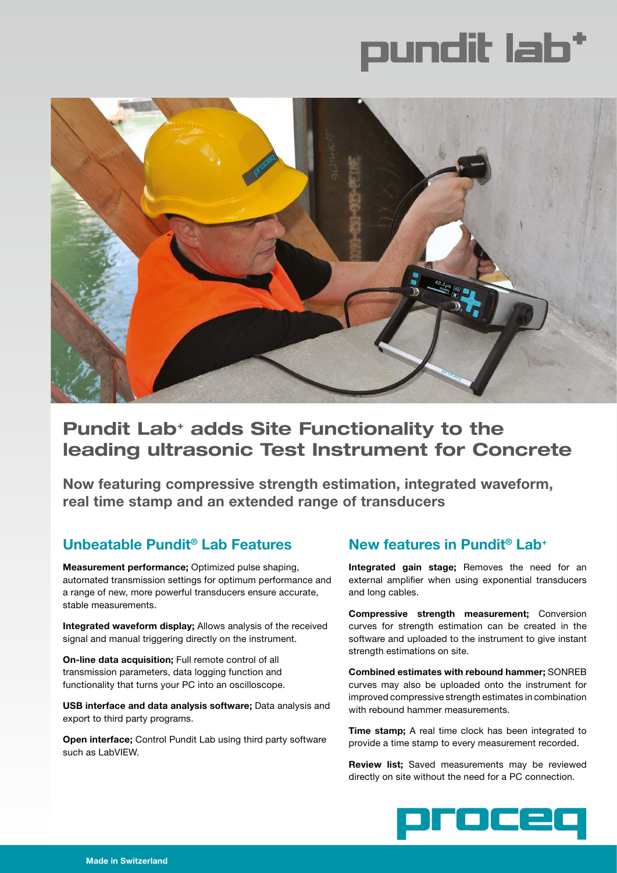



# **Pundit Lab+ adds Site Functionality to the leading ultrasonic Test Instrument for Concrete**

**Now featuring compressive strength estimation, integrated waveform, real time stamp and an extended range of transducers** 

# **Unbeatable Pundit® Lab Features**

**Measurement performance;** Optimized pulse shaping, automated transmission settings for optimum performance and a range of new, more powerful transducers ensure accurate, stable measurements.

**Integrated waveform display;** Allows analysis of the received signal and manual triggering directly on the instrument.

**On-line data acquisition;** Full remote control of all transmission parameters, data logging function and functionality that turns your PC into an oscilloscope.

**USB interface and data analysis software;** Data analysis and export to third party programs.

**Open interface;** Control Pundit Lab using third party software such as LabVIEW.

## **New features in Pundit® Lab+**

**Integrated gain stage;** Removes the need for an external amplifier when using exponential transducers and long cables.

**Compressive strength measurement;** Conversion curves for strength estimation can be created in the software and uploaded to the instrument to give instant strength estimations on site.

**Combined estimates with rebound hammer;** SONREB curves may also be uploaded onto the instrument for improved compressive strength estimates in combination with rebound hammer measurements.

**Time stamp;** A real time clock has been integrated to provide a time stamp to every measurement recorded.

**Review list;** Saved measurements may be reviewed directly on site without the need for a PC connection.

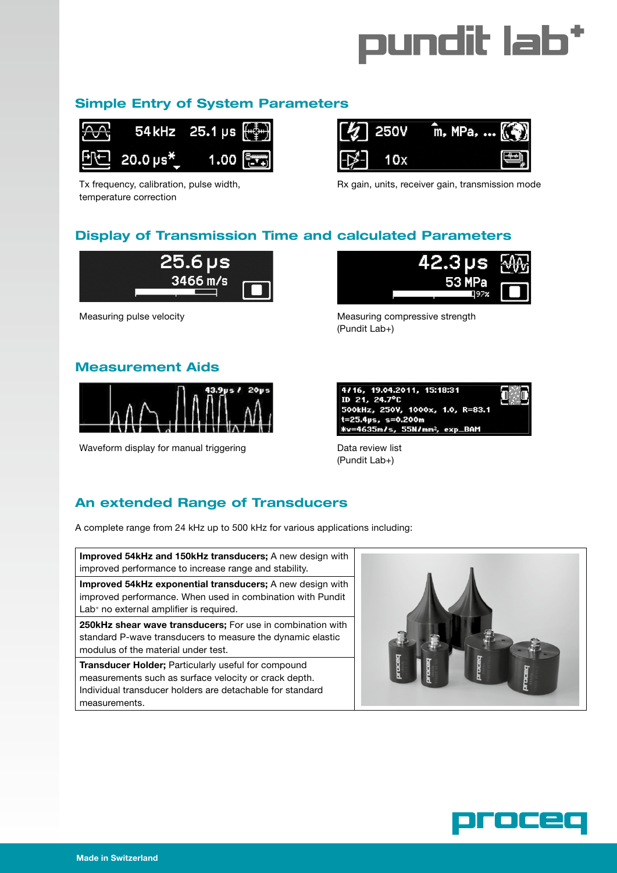

## **Simple Entry of System Parameters**



Tx frequency, calibration, pulse width, temperature correction



Rx gain, units, receiver gain, transmission mode

## **Display of Transmission Time and calculated Parameters**



### **Measurement Aids**



Waveform display for manual triggering Theorem Data review list



Measuring pulse velocity **Measuring compressive strength** Measuring compressive strength (Pundit Lab+)



(Pundit Lab+)

## **An extended Range of Transducers**

A complete range from 24 kHz up to 500 kHz for various applications including:

**Improved 54kHz and 150kHz transducers;** A new design with improved performance to increase range and stability.

**Improved 54kHz exponential transducers;** A new design with improved performance. When used in combination with Pundit Lab<sup>+</sup> no external amplifier is required.

**250kHz shear wave transducers;** For use in combination with standard P-wave transducers to measure the dynamic elastic modulus of the material under test.

**Transducer Holder;** Particularly useful for compound measurements such as surface velocity or crack depth. Individual transducer holders are detachable for standard measurements.



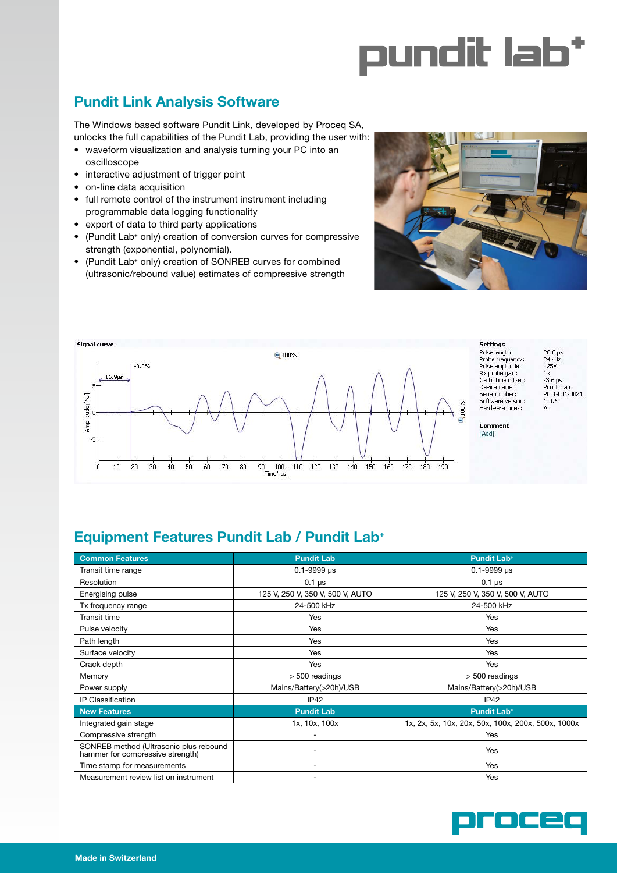

# **Pundit Link Analysis Software**

The Windows based software Pundit Link, developed by Proceq SA, unlocks the full capabilities of the Pundit Lab, providing the user with:

- waveform visualization and analysis turning your PC into an oscilloscope
- interactive adjustment of trigger point
- on-line data acquisition
- full remote control of the instrument instrument including programmable data logging functionality
- export of data to third party applications
- (Pundit Lab<sup>+</sup> only) creation of conversion curves for compressive strength (exponential, polynomial).
- (Pundit Lab+ only) creation of SONREB curves for combined (ultrasonic/rebound value) estimates of compressive strength





# **Equipment Features Pundit Lab / Pundit Lab+**

| <b>Common Features</b>                                                     | <b>Pundit Lab</b>                | <b>Pundit Lab+</b>                                 |
|----------------------------------------------------------------------------|----------------------------------|----------------------------------------------------|
| Transit time range                                                         | $0.1 - 9999$ us                  | $0.1 - 9999$ µs                                    |
| Resolution                                                                 | $0.1 \,\mu s$                    | $0.1 \,\mu s$                                      |
| Energising pulse                                                           | 125 V, 250 V, 350 V, 500 V, AUTO | 125 V, 250 V, 350 V, 500 V, AUTO                   |
| Tx frequency range                                                         | 24-500 kHz                       | 24-500 kHz                                         |
| Transit time                                                               | Yes                              | Yes                                                |
| Pulse velocity                                                             | Yes                              | Yes                                                |
| Path length                                                                | Yes                              | Yes                                                |
| Surface velocity                                                           | Yes                              | Yes                                                |
| Crack depth                                                                | Yes                              | Yes                                                |
| Memory                                                                     | > 500 readings                   | $> 500$ readings                                   |
| Power supply                                                               | Mains/Battery(>20h)/USB          | Mains/Battery(>20h)/USB                            |
| <b>IP Classification</b>                                                   | IP42                             | IP42                                               |
| <b>New Features</b>                                                        | <b>Pundit Lab</b>                | <b>Pundit Lab+</b>                                 |
| Integrated gain stage                                                      | 1x, 10x, 100x                    | 1x, 2x, 5x, 10x, 20x, 50x, 100x, 200x, 500x, 1000x |
| Compressive strength                                                       |                                  | Yes                                                |
| SONREB method (Ultrasonic plus rebound<br>hammer for compressive strength) |                                  | Yes                                                |
| Time stamp for measurements                                                |                                  | Yes                                                |
| Measurement review list on instrument                                      |                                  | Yes                                                |